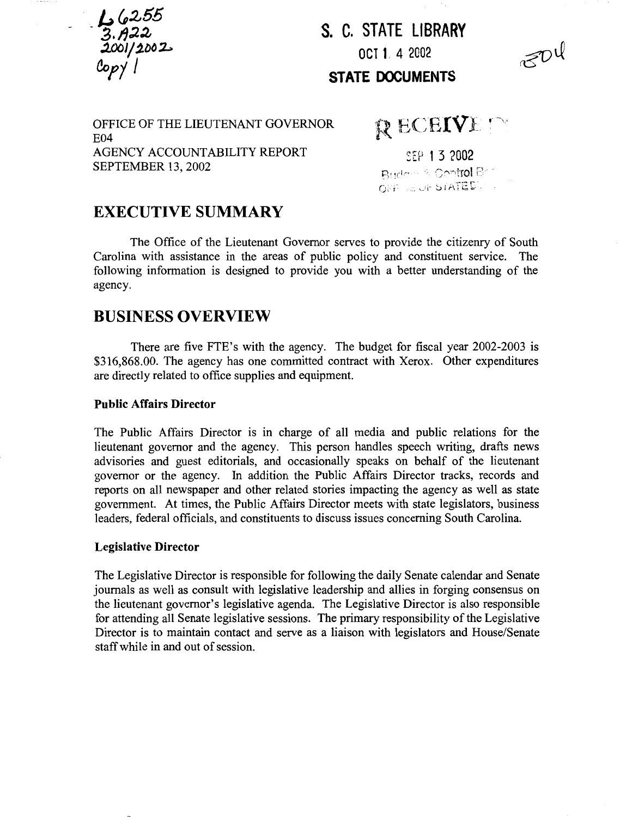$\frac{1}{3.722}$ <br> $\frac{3.722}{2001/2002}$ 

**S. C. STATE Ll BRARY OCT 1.** 4 2002



**STATE DOCUMENTS** 

OFFICE OF THE LIEUTENANT GOVERNOR E04 AGENCY ACCOUNTABILITY REPORT SEPTEMBER 13,2002

 $R$  ECEIVE  $\cap$ 

SEP 1 3 2002 Budden & Control Ban  $O(\mathrm{FF}) \cong \mathrm{OF-SIATEE}$ .

# **EXECUTIVE SUMMARY**

The Office of the Lieutenant Governor serves to provide the citizenry of South Carolina with assistance in the areas of public policy and constituent service. The following information is designed to provide you with a better understanding of the agency.

## **BUSINESS OVERVIEW**

There are five FTE's with the agency. The budget for fiscal year 2002-2003 is \$316,868.00. The agency has one committed contract with Xerox. Other expenditures are directly related to office supplies and equipment.

### **Public Affairs Director**

The Public Affairs Director is in charge of all media and public relations for the lieutenant governor and the agency. This person handles speech writing, drafts news advisories and guest editorials, and occasionally speaks on behalf of the lieutenant governor or the agency. In addition the Public Affairs Director tracks, records and reports on all newspaper and other related stories impacting the agency as well as state government. At times, the Public Affairs Director meets with state legislators, business leaders, federal officials, and constituents to discuss issues concerning South Carolina.

#### **Legislative Director**

The Legislative Director is responsible for following the daily Senate calendar and Senate journals as well as consult with legislative leadership and allies in forging consensus on the lieutenant governor's legislative agenda. The Legislative Director is also responsible for attending all Senate legislative sessions. The primary responsibility of the Legislative Director is to maintain contact and serve as a liaison with legislators and House/Senate staff while in and out of session.